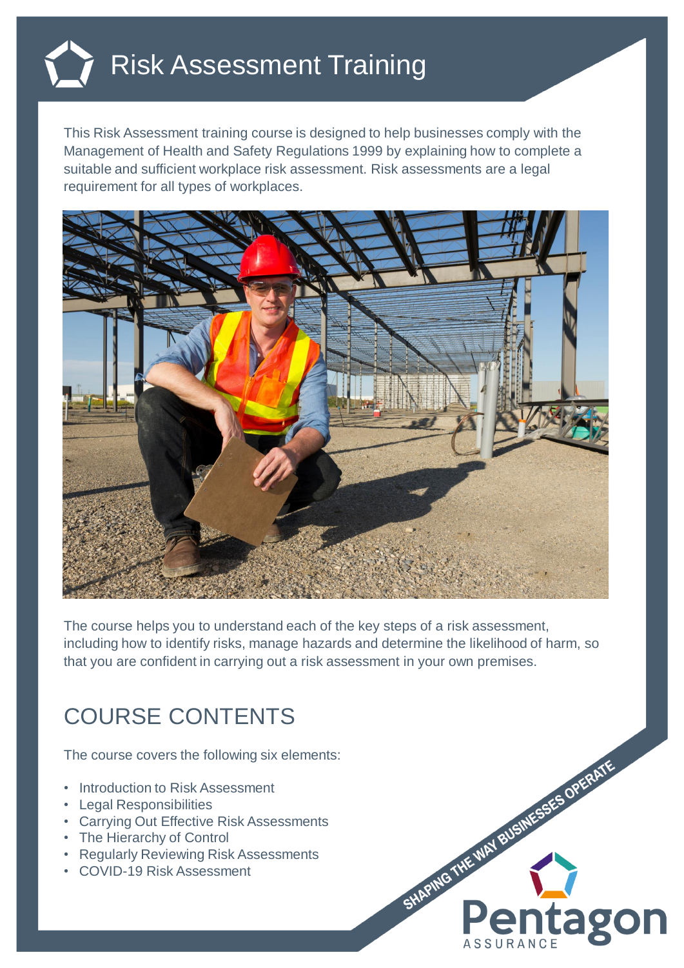This Risk Assessment training course is designed to help businesses comply with the Management of Health and Safety Regulations 1999 by explaining how to complete a suitable and sufficient workplace risk assessment. Risk assessments are a legal requirement for all types of workplaces.



The course helps you to understand each of the key steps of a risk assessment, including how to identify risks, manage hazards and determine the likelihood of harm, so that you are confident in carrying out a risk assessment in your own premises.

## COURSE CONTENTS

The course covers the following six elements:

- Introduction to Risk Assessment
- Legal Responsibilities
- Carrying Out Effective Risk Assessments
- The Hierarchy of Control
- Regularly Reviewing Risk Assessments
- COVID-19 Risk Assessment